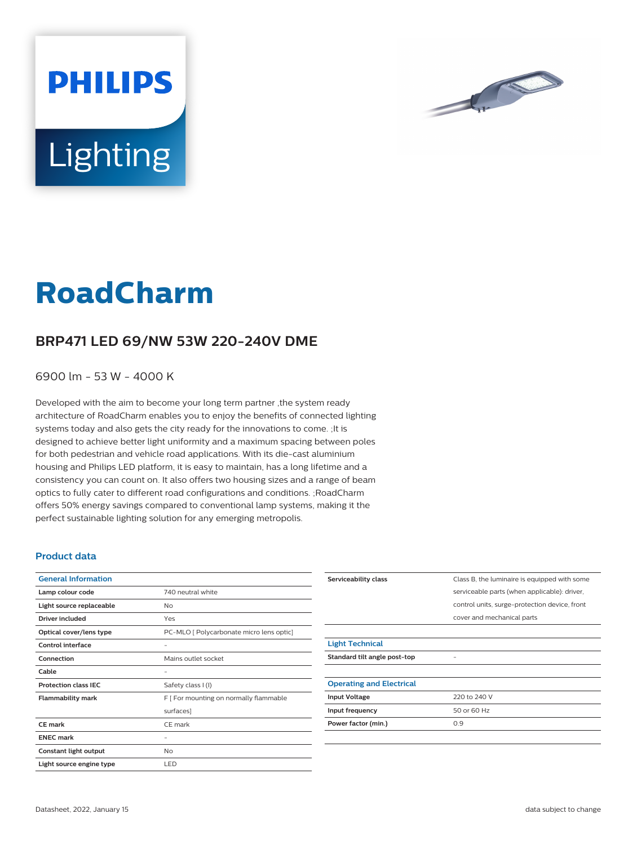

# **Lighting**

**PHILIPS** 

# **RoadCharm**

## **BRP471 LED 69/NW 53W 220-240V DME**

6900 lm - 53 W - 4000 K

Developed with the aim to become your long term partner ,the system ready architecture of RoadCharm enables you to enjoy the benefits of connected lighting systems today and also gets the city ready for the innovations to come. ;It is designed to achieve better light uniformity and a maximum spacing between poles for both pedestrian and vehicle road applications. With its die-cast aluminium housing and Philips LED platform, it is easy to maintain, has a long lifetime and a consistency you can count on. It also offers two housing sizes and a range of beam optics to fully cater to different road configurations and conditions. ;RoadCharm offers 50% energy savings compared to conventional lamp systems, making it the perfect sustainable lighting solution for any emerging metropolis.

#### **Product data**

| <b>General Information</b>  |                                          |
|-----------------------------|------------------------------------------|
| Lamp colour code            | 740 neutral white                        |
| Light source replaceable    | No                                       |
| <b>Driver included</b>      | Yes                                      |
| Optical cover/lens type     | PC-MLO [ Polycarbonate micro lens optic] |
| Control interface           |                                          |
| Connection                  | Mains outlet socket                      |
| Cable                       | -                                        |
| <b>Protection class IEC</b> | Safety class I (I)                       |
| <b>Flammability mark</b>    | F [ For mounting on normally flammable   |
|                             | surfaces]                                |
| CE mark                     | CE mark                                  |
| <b>ENEC mark</b>            |                                          |
| Constant light output       | No                                       |
| Light source engine type    | LED                                      |

| Serviceability class            | Class B, the luminaire is equipped with some  |
|---------------------------------|-----------------------------------------------|
|                                 | serviceable parts (when applicable): driver,  |
|                                 | control units, surge-protection device, front |
|                                 | cover and mechanical parts                    |
|                                 |                                               |
| <b>Light Technical</b>          |                                               |
| Standard tilt angle post-top    |                                               |
|                                 |                                               |
| <b>Operating and Electrical</b> |                                               |
| <b>Input Voltage</b>            | 220 to 240 V                                  |
| Input frequency                 | 50 or 60 Hz                                   |
| Power factor (min.)             | 0.9                                           |
|                                 |                                               |